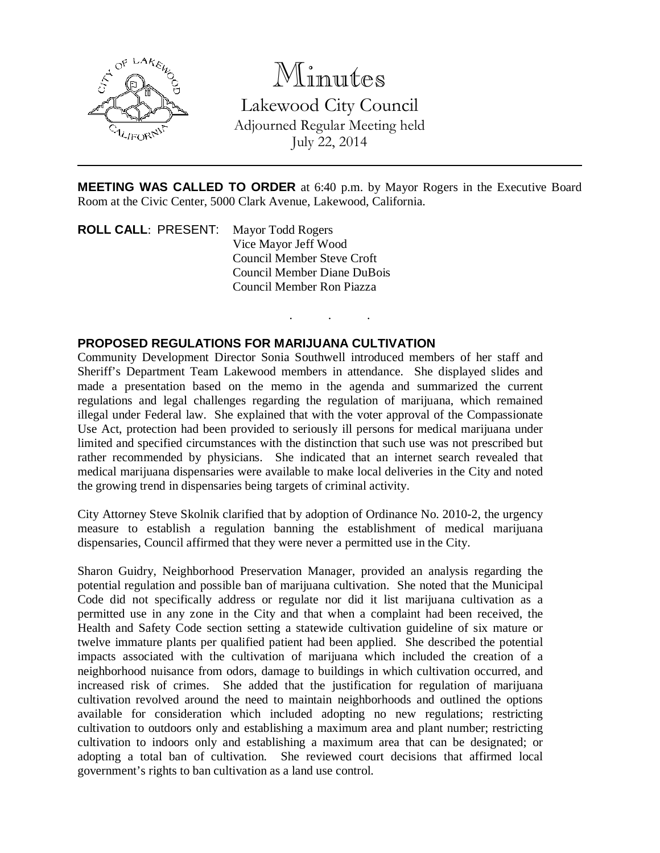

## Minutes

Lakewood City Council Adjourned Regular Meeting held July 22, 2014

**MEETING WAS CALLED TO ORDER** at 6:40 p.m. by Mayor Rogers in the Executive Board Room at the Civic Center, 5000 Clark Avenue, Lakewood, California.

. . .

**ROLL CALL**: PRESENT: Mayor Todd Rogers Vice Mayor Jeff Wood Council Member Steve Croft Council Member Diane DuBois Council Member Ron Piazza

## **PROPOSED REGULATIONS FOR MARIJUANA CULTIVATION**

Community Development Director Sonia Southwell introduced members of her staff and Sheriff's Department Team Lakewood members in attendance. She displayed slides and made a presentation based on the memo in the agenda and summarized the current regulations and legal challenges regarding the regulation of marijuana, which remained illegal under Federal law. She explained that with the voter approval of the Compassionate Use Act, protection had been provided to seriously ill persons for medical marijuana under limited and specified circumstances with the distinction that such use was not prescribed but rather recommended by physicians. She indicated that an internet search revealed that medical marijuana dispensaries were available to make local deliveries in the City and noted the growing trend in dispensaries being targets of criminal activity.

City Attorney Steve Skolnik clarified that by adoption of Ordinance No. 2010-2, the urgency measure to establish a regulation banning the establishment of medical marijuana dispensaries, Council affirmed that they were never a permitted use in the City.

Sharon Guidry, Neighborhood Preservation Manager, provided an analysis regarding the potential regulation and possible ban of marijuana cultivation. She noted that the Municipal Code did not specifically address or regulate nor did it list marijuana cultivation as a permitted use in any zone in the City and that when a complaint had been received, the Health and Safety Code section setting a statewide cultivation guideline of six mature or twelve immature plants per qualified patient had been applied. She described the potential impacts associated with the cultivation of marijuana which included the creation of a neighborhood nuisance from odors, damage to buildings in which cultivation occurred, and increased risk of crimes. She added that the justification for regulation of marijuana cultivation revolved around the need to maintain neighborhoods and outlined the options available for consideration which included adopting no new regulations; restricting cultivation to outdoors only and establishing a maximum area and plant number; restricting cultivation to indoors only and establishing a maximum area that can be designated; or adopting a total ban of cultivation. She reviewed court decisions that affirmed local government's rights to ban cultivation as a land use control.